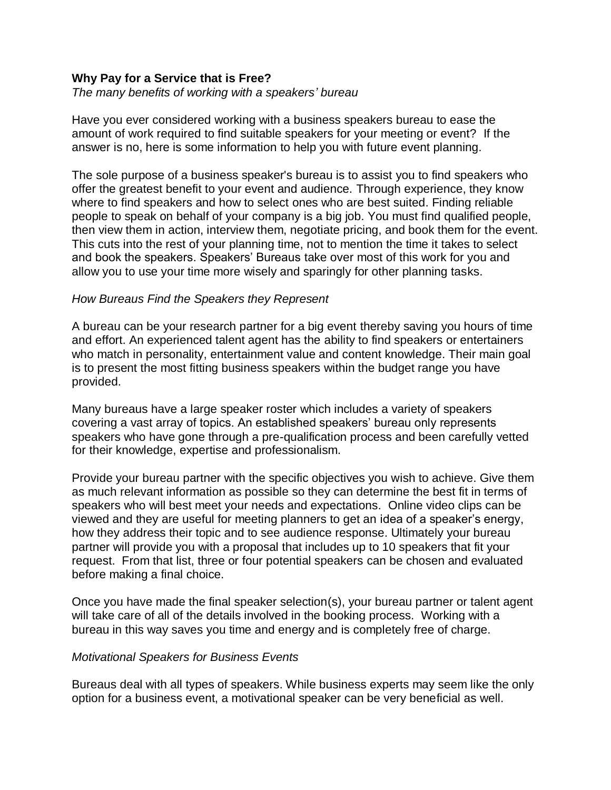## **Why Pay for a Service that is Free?**

## *The many benefits of working with a speakers' bureau*

Have you ever considered working with a business speakers bureau to ease the amount of work required to find suitable speakers for your meeting or event? If the answer is no, here is some information to help you with future event planning.

The sole purpose of a business speaker's bureau is to assist you to find speakers who offer the greatest benefit to your event and audience. Through experience, they know where to find speakers and how to select ones who are best suited. Finding reliable people to speak on behalf of your company is a big job. You must find qualified people, then view them in action, interview them, negotiate pricing, and book them for the event. This cuts into the rest of your planning time, not to mention the time it takes to select and book the speakers. Speakers' Bureaus take over most of this work for you and allow you to use your time more wisely and sparingly for other planning tasks.

## *How Bureaus Find the Speakers they Represent*

A bureau can be your research partner for a big event thereby saving you hours of time and effort. An experienced talent agent has the ability to find speakers or entertainers who match in personality, entertainment value and content knowledge. Their main goal is to present the most fitting business speakers within the budget range you have provided.

Many bureaus have a large speaker roster which includes a variety of speakers covering a vast array of topics. An established speakers' bureau only represents speakers who have gone through a pre-qualification process and been carefully vetted for their knowledge, expertise and professionalism.

Provide your bureau partner with the specific objectives you wish to achieve. Give them as much relevant information as possible so they can determine the best fit in terms of speakers who will best meet your needs and expectations. Online video clips can be viewed and they are useful for meeting planners to get an idea of a speaker's energy, how they address their topic and to see audience response. Ultimately your bureau partner will provide you with a proposal that includes up to 10 speakers that fit your request. From that list, three or four potential speakers can be chosen and evaluated before making a final choice.

Once you have made the final speaker selection(s), your bureau partner or talent agent will take care of all of the details involved in the booking process. Working with a bureau in this way saves you time and energy and is completely free of charge.

## *Motivational Speakers for Business Events*

Bureaus deal with all types of speakers. While business experts may seem like the only option for a business event, a motivational speaker can be very beneficial as well.